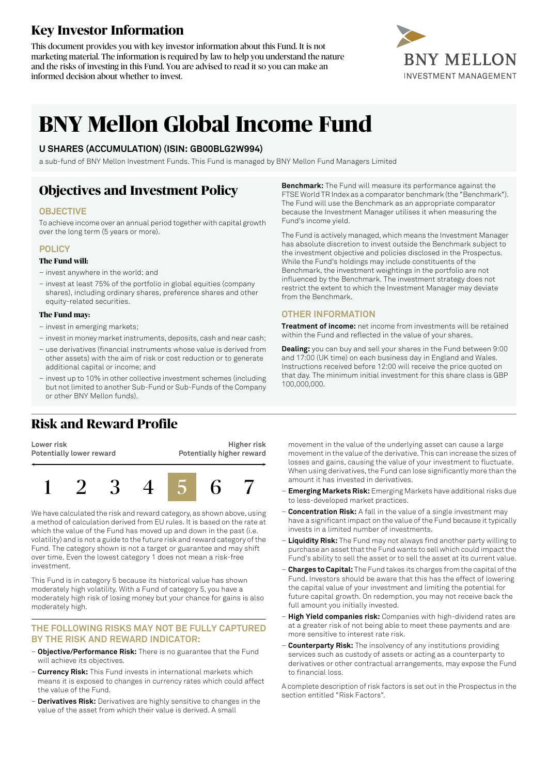## **Key Investor Information**

This document provides you with key investor information about this Fund. It is not marketing material. The information is required by law to help you understand the nature and the risks of investing in this Fund. You are advised to read it so you can make an informed decision about whether to invest.



# **BNY Mellon Global Income Fund**

#### **U SHARES (ACCUMULATION) (ISIN: GB00BLG2W994)**

a sub-fund of BNY Mellon Investment Funds. This Fund is managed by BNY Mellon Fund Managers Limited

### **Objectives and Investment Policy**

#### **OBJECTIVE**

To achieve income over an annual period together with capital growth over the long term (5 years or more).

#### **POLICY**

#### **The Fund will:**

- invest anywhere in the world; and
- invest at least 75% of the portfolio in global equities (company shares), including ordinary shares, preference shares and other equity-related securities.

#### **The Fund may:**

- invest in emerging markets;
- investin money marketinstruments, deposits, cash and near cash;
- use derivatives (financial instruments whose value is derived from other assets) with the aim of risk or cost reduction or to generate additional capital or income; and
- invest up to 10% in other collective investment schemes (including but not limited to another Sub-Fund or Sub-Funds of the Company or other BNY Mellon funds).

## **Risk and Reward Profile**

**Lower risk Potentially lower reward**

**Higher risk Potentially higher reward**



We have calculated the risk and reward category, as shown above, using a method of calculation derived from EU rules. It is based on the rate at which the value of the Fund has moved up and down in the past (i.e. volatility) and is not a guide to the future risk and reward category of the Fund. The category shown is not a target or guarantee and may shift over time. Even the lowest category 1 does not mean a risk-free investment.

This Fund is in category 5 because its historical value has shown moderately high volatility. With a Fund of category 5, you have a moderately high risk of losing money but your chance for gains is also moderately high.

#### **THE FOLLOWING RISKS MAY NOT BE FULLY CAPTURED BY THE RISK AND REWARD INDICATOR:**

- **Objective/Performance Risk:** There is no guarantee that the Fund will achieve its objectives.
- **Currency Risk:** This Fund invests in international markets which means it is exposed to changes in currency rates which could affect the value of the Fund.
- **Derivatives Risk:** Derivatives are highly sensitive to changes in the value of the asset from which their value is derived. A small

**Benchmark:** The Fund will measure its performance against the FTSE World TR Index as a comparator benchmark (the "Benchmark"). The Fund will use the Benchmark as an appropriate comparator because the Investment Manager utilises it when measuring the Fund's income yield.

The Fund is actively managed, which means the Investment Manager has absolute discretion to invest outside the Benchmark subject to the investment objective and policies disclosed in the Prospectus. While the Fund's holdings may include constituents of the Benchmark, the investment weightings in the portfolio are not influenced by the Benchmark. The investment strategy does not restrict the extent to which the Investment Manager may deviate from the Benchmark.

#### **OTHER INFORMATION**

**Treatment of income:** net income from investments will be retained within the Fund and reflected in the value of your shares.

**Dealing:** you can buy and sell your shares in the Fund between 9:00 and 17:00 (UK time) on each business day in England and Wales. Instructions received before 12:00 will receive the price quoted on that day. The minimum initial investment for this share class is GBP 100,000,000.

movement in the value of the underlying asset can cause a large movement in the value of the derivative. This can increase the sizes of losses and gains, causing the value of your investment to fluctuate. When using derivatives, the Fund can lose significantly more than the amount it has invested in derivatives.

- **Emerging Markets Risk:** Emerging Markets have additional risks due to less-developed market practices.
- **Concentration Risk:** A fall in the value of a single investment may have a significant impact on the value of the Fund because it typically invests in a limited number of investments.
- **Liquidity Risk:** The Fund may not always find another party willing to purchase an asset that the Fund wants to sell which could impact the Fund's ability to sell the asset or to sell the asset at its current value.
- **Charges to Capital:** The Fund takes its charges from the capital ofthe Fund. Investors should be aware that this has the effect of lowering the capital value of your investment and limiting the potential for future capital growth. On redemption, you may not receive back the full amount you initially invested.
- **High Yield companies risk:** Companies with high-dividend rates are at a greater risk of not being able to meet these payments and are more sensitive to interest rate risk.
- **Counterparty Risk:** The insolvency of any institutions providing services such as custody of assets or acting as a counterparty to derivatives or other contractual arrangements, may expose the Fund to financial loss.

A complete description of risk factors is set out in the Prospectus in the section entitled "Risk Factors".